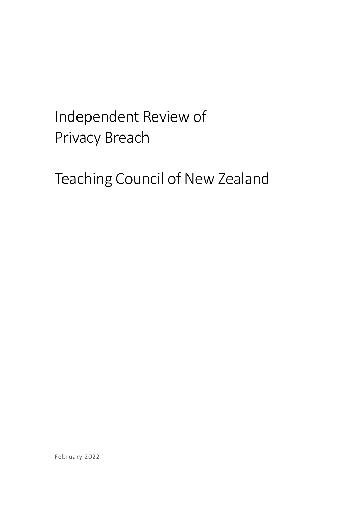# Independent Review of Privacy Breach

Teaching Council of New Zealand

February 2022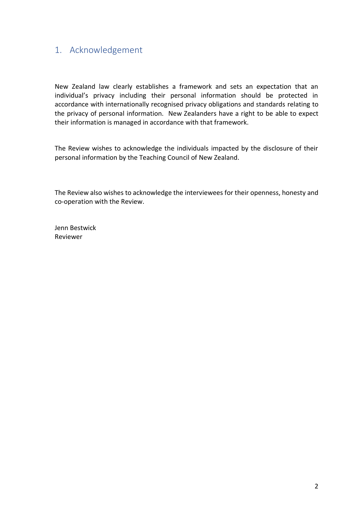### <span id="page-1-0"></span>1. Acknowledgement

New Zealand law clearly establishes a framework and sets an expectation that an individual's privacy including their personal information should be protected in accordance with internationally recognised privacy obligations and standards relating to the privacy of personal information. New Zealanders have a right to be able to expect their information is managed in accordance with that framework.

The Review wishes to acknowledge the individuals impacted by the disclosure of their personal information by the Teaching Council of New Zealand.

The Review also wishes to acknowledge the interviewees for their openness, honesty and co-operation with the Review.

Jenn Bestwick Reviewer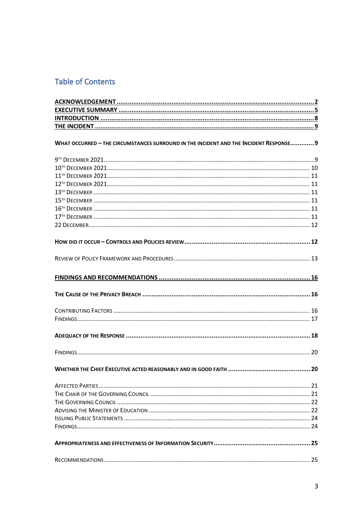### **Table of Contents**

| WHAT OCCURRED - THE CIRCUMSTANCES SURROUND IN THE INCIDENT AND THE INCIDENT RESPONSE 9 |    |
|----------------------------------------------------------------------------------------|----|
|                                                                                        |    |
|                                                                                        |    |
|                                                                                        |    |
|                                                                                        |    |
|                                                                                        |    |
|                                                                                        |    |
|                                                                                        |    |
|                                                                                        |    |
|                                                                                        |    |
|                                                                                        |    |
|                                                                                        |    |
|                                                                                        |    |
|                                                                                        |    |
|                                                                                        |    |
|                                                                                        |    |
|                                                                                        |    |
|                                                                                        |    |
|                                                                                        |    |
|                                                                                        |    |
|                                                                                        |    |
|                                                                                        |    |
|                                                                                        | 20 |
|                                                                                        |    |
|                                                                                        |    |
|                                                                                        |    |
|                                                                                        |    |
|                                                                                        |    |
|                                                                                        |    |
|                                                                                        |    |
|                                                                                        |    |
|                                                                                        |    |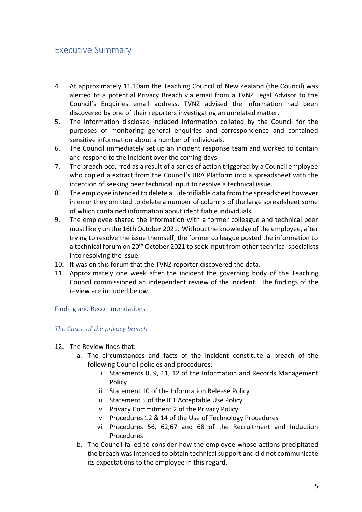### <span id="page-4-0"></span>Executive Summary

- 4. At approximately 11.10am the Teaching Council of New Zealand (the Council) was alerted to a potential Privacy Breach via email from a TVNZ Legal Advisor to the Council's Enquiries email address. TVNZ advised the information had been discovered by one of their reporters investigating an unrelated matter.
- 5. The information disclosed included information collated by the Council for the purposes of monitoring general enquiries and correspondence and contained sensitive information about a number of individuals.
- 6. The Council immediately set up an incident response team and worked to contain and respond to the incident over the coming days.
- 7. The breach occurred as a result of a series of action triggered by a Council employee who copied a extract from the Council's JIRA Platform into a spreadsheet with the intention of seeking peer technical input to resolve a technical issue.
- 8. The employee intended to delete all identifiable data from the spreadsheet however in error they omitted to delete a number of columns of the large spreadsheet some of which contained information about identifiable individuals.
- 9. The employee shared the information with a former colleague and technical peer most likely on the 16th October 2021. Without the knowledge of the employee, after trying to resolve the issue themself, the former colleague posted the information to a technical forum on 20<sup>th</sup> October 2021 to seek input from other technical specialists into resolving the issue.
- 10. It was on this forum that the TVNZ reporter discovered the data.
- 11. Approximately one week after the incident the governing body of the Teaching Council commissioned an independent review of the incident. The findings of the review are included below.

Finding and Recommendations

### *The Cause of the privacy breach*

- 12. The Review finds that:
	- a. The circumstances and facts of the incident constitute a breach of the following Council policies and procedures:
		- i. Statements 8, 9, 11, 12 of the Information and Records Management Policy
		- ii. Statement 10 of the Information Release Policy
		- iii. Statement 5 of the ICT Acceptable Use Policy
		- iv. Privacy Commitment 2 of the Privacy Policy
		- v. Procedures 12 & 14 of the Use of Technology Procedures
		- vi. Procedures 56, 62,67 and 68 of the Recruitment and Induction Procedures
	- b. The Council failed to consider how the employee whose actions precipitated the breach was intended to obtain technical support and did not communicate its expectations to the employee in this regard.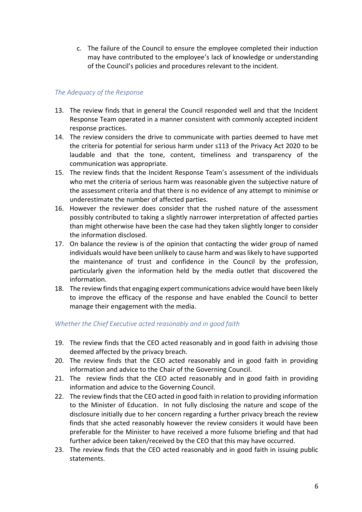c. The failure of the Council to ensure the employee completed their induction may have contributed to the employee's lack of knowledge or understanding of the Council's policies and procedures relevant to the incident.

### *The Adequacy of the Response*

- 13. The review finds that in general the Council responded well and that the Incident Response Team operated in a manner consistent with commonly accepted incident response practices.
- 14. The review considers the drive to communicate with parties deemed to have met the criteria for potential for serious harm under s113 of the Privacy Act 2020 to be laudable and that the tone, content, timeliness and transparency of the communication was appropriate.
- 15. The review finds that the Incident Response Team's assessment of the individuals who met the criteria of serious harm was reasonable given the subjective nature of the assessment criteria and that there is no evidence of any attempt to minimise or underestimate the number of affected parties.
- 16. However the reviewer does consider that the rushed nature of the assessment possibly contributed to taking a slightly narrower interpretation of affected parties than might otherwise have been the case had they taken slightly longer to consider the information disclosed.
- 17. On balance the review is of the opinion that contacting the wider group of named individuals would have been unlikely to cause harm and was likely to have supported the maintenance of trust and confidence in the Council by the profession, particularly given the information held by the media outlet that discovered the information.
- 18. The review finds that engaging expert communications advice would have been likely to improve the efficacy of the response and have enabled the Council to better manage their engagement with the media.

### *Whether the Chief Executive acted reasonably and in good faith*

- 19. The review finds that the CEO acted reasonably and in good faith in advising those deemed affected by the privacy breach.
- 20. The review finds that the CEO acted reasonably and in good faith in providing information and advice to the Chair of the Governing Council.
- 21. The review finds that the CEO acted reasonably and in good faith in providing information and advice to the Governing Council.
- 22. The review finds that the CEO acted in good faith in relation to providing information to the Minister of Education. In not fully disclosing the nature and scope of the disclosure initially due to her concern regarding a further privacy breach the review finds that she acted reasonably however the review considers it would have been preferable for the Minister to have received a more fulsome briefing and that had further advice been taken/received by the CEO that this may have occurred.
- 23. The review finds that the CEO acted reasonably and in good faith in issuing public statements.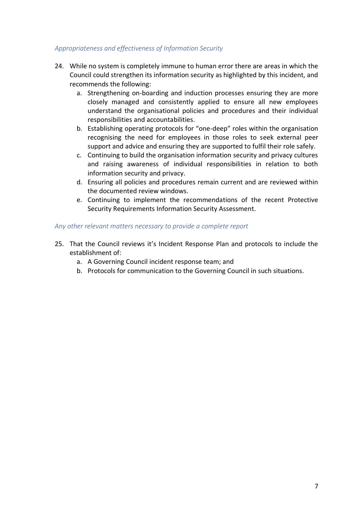### *Appropriateness and effectiveness of Information Security*

- 24. While no system is completely immune to human error there are areas in which the Council could strengthen its information security as highlighted by this incident, and recommends the following:
	- a. Strengthening on-boarding and induction processes ensuring they are more closely managed and consistently applied to ensure all new employees understand the organisational policies and procedures and their individual responsibilities and accountabilities.
	- b. Establishing operating protocols for "one-deep" roles within the organisation recognising the need for employees in those roles to seek external peer support and advice and ensuring they are supported to fulfil their role safely.
	- c. Continuing to build the organisation information security and privacy cultures and raising awareness of individual responsibilities in relation to both information security and privacy.
	- d. Ensuring all policies and procedures remain current and are reviewed within the documented review windows.
	- e. Continuing to implement the recommendations of the recent Protective Security Requirements Information Security Assessment.

### *Any other relevant matters necessary to provide a complete report*

- 25. That the Council reviews it's Incident Response Plan and protocols to include the establishment of:
	- a. A Governing Council incident response team; and
	- b. Protocols for communication to the Governing Council in such situations.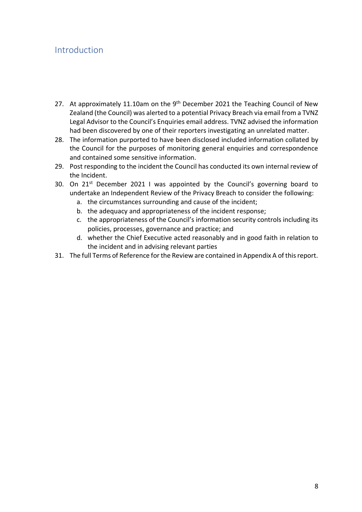### <span id="page-7-0"></span>Introduction

- 27. At approximately 11.10am on the 9<sup>th</sup> December 2021 the Teaching Council of New Zealand (the Council) was alerted to a potential Privacy Breach via email from a TVNZ Legal Advisor to the Council's Enquiries email address. TVNZ advised the information had been discovered by one of their reporters investigating an unrelated matter.
- 28. The information purported to have been disclosed included information collated by the Council for the purposes of monitoring general enquiries and correspondence and contained some sensitive information.
- 29. Post responding to the incident the Council has conducted its own internal review of the Incident.
- 30. On  $21^{st}$  December 2021 I was appointed by the Council's governing board to undertake an Independent Review of the Privacy Breach to consider the following:
	- a. the circumstances surrounding and cause of the incident;
	- b. the adequacy and appropriateness of the incident response;
	- c. the appropriateness of the Council's information security controls including its policies, processes, governance and practice; and
	- d. whether the Chief Executive acted reasonably and in good faith in relation to the incident and in advising relevant parties
- 31. The full Terms of Reference for the Review are contained in Appendix A of this report.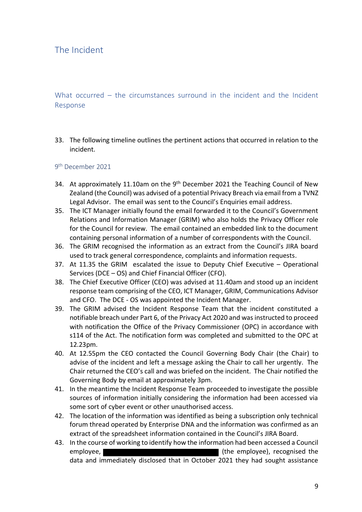### <span id="page-8-0"></span>The Incident

<span id="page-8-1"></span>What occurred – the circumstances surround in the incident and the Incident Response

33. The following timeline outlines the pertinent actions that occurred in relation to the incident.

### <span id="page-8-2"></span>9 th December 2021

- 34. At approximately 11.10am on the  $9<sup>th</sup>$  December 2021 the Teaching Council of New Zealand (the Council) was advised of a potential Privacy Breach via email from a TVNZ Legal Advisor. The email was sent to the Council's Enquiries email address.
- 35. The ICT Manager initially found the email forwarded it to the Council's Government Relations and Information Manager (GRIM) who also holds the Privacy Officer role for the Council for review. The email contained an embedded link to the document containing personal information of a number of correspondents with the Council.
- 36. The GRIM recognised the information as an extract from the Council's JIRA board used to track general correspondence, complaints and information requests.
- 37. At 11.35 the GRIM escalated the issue to Deputy Chief Executive Operational Services (DCE – OS) and Chief Financial Officer (CFO).
- 38. The Chief Executive Officer (CEO) was advised at 11.40am and stood up an incident response team comprising of the CEO, ICT Manager, GRIM, Communications Advisor and CFO. The DCE - OS was appointed the Incident Manager.
- 39. The GRIM advised the Incident Response Team that the incident constituted a notifiable breach under Part 6, of the Privacy Act 2020 and wasinstructed to proceed with notification the Office of the Privacy Commissioner (OPC) in accordance with s114 of the Act. The notification form was completed and submitted to the OPC at 12.23pm.
- 40. At 12.55pm the CEO contacted the Council Governing Body Chair (the Chair) to advise of the incident and left a message asking the Chair to call her urgently. The Chair returned the CEO's call and was briefed on the incident. The Chair notified the Governing Body by email at approximately 3pm.
- 41. In the meantime the Incident Response Team proceeded to investigate the possible sources of information initially considering the information had been accessed via some sort of cyber event or other unauthorised access.
- 42. The location of the information was identified as being a subscription only technical forum thread operated by Enterprise DNA and the information was confirmed as an extract of the spreadsheet information contained in the Council's JIRA Board.
- 43. In the course of working to identify how the information had been accessed a Council employee, **EXECUTE:** (the employee), recognised the data and immediately disclosed that in October 2021 they had sought assistance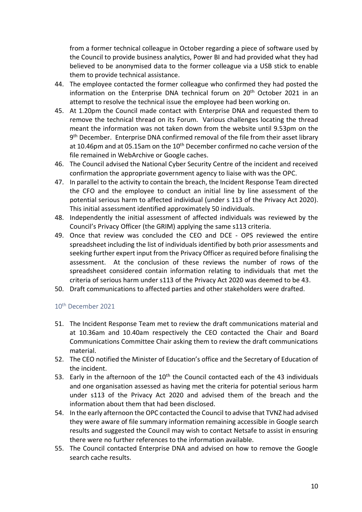from a former technical colleague in October regarding a piece of software used by the Council to provide business analytics, Power BI and had provided what they had believed to be anonymised data to the former colleague via a USB stick to enable them to provide technical assistance.

- 44. The employee contacted the former colleague who confirmed they had posted the information on the Enterprise DNA technical forum on 20<sup>th</sup> October 2021 in an attempt to resolve the technical issue the employee had been working on.
- 45. At 1.20pm the Council made contact with Enterprise DNA and requested them to remove the technical thread on its Forum. Various challenges locating the thread meant the information was not taken down from the website until 9.53pm on the 9<sup>th</sup> December. Enterprise DNA confirmed removal of the file from their asset library at 10.46pm and at 05.15am on the  $10<sup>th</sup>$  December confirmed no cache version of the file remained in WebArchive or Google caches.
- 46. The Council advised the National Cyber Security Centre of the incident and received confirmation the appropriate government agency to liaise with was the OPC.
- 47. In parallel to the activity to contain the breach, the Incident Response Team directed the CFO and the employee to conduct an initial line by line assessment of the potential serious harm to affected individual (under s 113 of the Privacy Act 2020). This initial assessment identified approximately 50 individuals.
- 48. Independently the initial assessment of affected individuals was reviewed by the Council's Privacy Officer (the GRIM) applying the same s113 criteria.
- 49. Once that review was concluded the CEO and DCE OPS reviewed the entire spreadsheet including the list of individuals identified by both prior assessments and seeking further expert input from the Privacy Officer as required before finalising the assessment. At the conclusion of these reviews the number of rows of the spreadsheet considered contain information relating to individuals that met the criteria of serious harm under s113 of the Privacy Act 2020 was deemed to be 43.
- 50. Draft communications to affected parties and other stakeholders were drafted.

### <span id="page-9-0"></span>10th December 2021

- 51. The Incident Response Team met to review the draft communications material and at 10.36am and 10.40am respectively the CEO contacted the Chair and Board Communications Committee Chair asking them to review the draft communications material.
- 52. The CEO notified the Minister of Education's office and the Secretary of Education of the incident.
- 53. Early in the afternoon of the  $10<sup>th</sup>$  the Council contacted each of the 43 individuals and one organisation assessed as having met the criteria for potential serious harm under s113 of the Privacy Act 2020 and advised them of the breach and the information about them that had been disclosed.
- 54. In the early afternoon the OPC contacted the Council to advise that TVNZ had advised they were aware of file summary information remaining accessible in Google search results and suggested the Council may wish to contact Netsafe to assist in ensuring there were no further references to the information available.
- 55. The Council contacted Enterprise DNA and advised on how to remove the Google search cache results.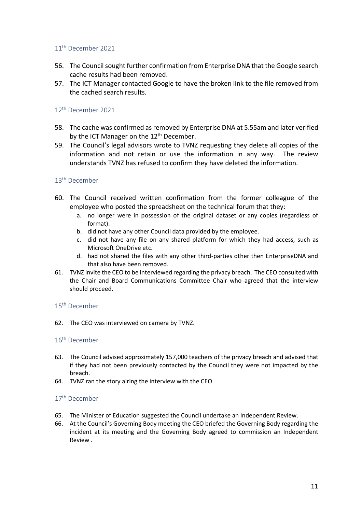### <span id="page-10-0"></span>11<sup>th</sup> December 2021

- 56. The Council sought further confirmation from Enterprise DNA that the Google search cache results had been removed.
- 57. The ICT Manager contacted Google to have the broken link to the file removed from the cached search results.

### <span id="page-10-1"></span>12th December 2021

- 58. The cache was confirmed as removed by Enterprise DNA at 5.55am and later verified by the ICT Manager on the 12<sup>th</sup> December.
- 59. The Council's legal advisors wrote to TVNZ requesting they delete all copies of the information and not retain or use the information in any way. The review understands TVNZ has refused to confirm they have deleted the information.

#### <span id="page-10-2"></span>13th December

- 60. The Council received written confirmation from the former colleague of the employee who posted the spreadsheet on the technical forum that they:
	- a. no longer were in possession of the original dataset or any copies (regardless of format).
	- b. did not have any other Council data provided by the employee.
	- c. did not have any file on any shared platform for which they had access, such as Microsoft OneDrive etc.
	- d. had not shared the files with any other third-parties other then EnterpriseDNA and that also have been removed.
- 61. TVNZ invite the CEO to be interviewed regarding the privacy breach. The CEO consulted with the Chair and Board Communications Committee Chair who agreed that the interview should proceed.

### <span id="page-10-3"></span>15th December

62. The CEO was interviewed on camera by TVNZ.

#### <span id="page-10-4"></span>16th December

- 63. The Council advised approximately 157,000 teachers of the privacy breach and advised that if they had not been previously contacted by the Council they were not impacted by the breach.
- 64. TVNZ ran the story airing the interview with the CEO.

### <span id="page-10-5"></span>17th December

- 65. The Minister of Education suggested the Council undertake an Independent Review.
- 66. At the Council's Governing Body meeting the CEO briefed the Governing Body regarding the incident at its meeting and the Governing Body agreed to commission an Independent Review .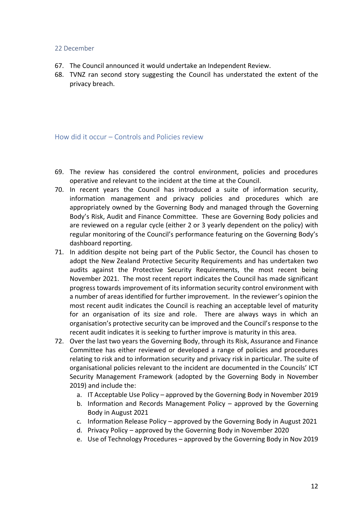#### <span id="page-11-0"></span>22 December

- 67. The Council announced it would undertake an Independent Review.
- 68. TVNZ ran second story suggesting the Council has understated the extent of the privacy breach.

### <span id="page-11-1"></span>How did it occur – Controls and Policies review

- 69. The review has considered the control environment, policies and procedures operative and relevant to the incident at the time at the Council.
- 70. In recent years the Council has introduced a suite of information security, information management and privacy policies and procedures which are appropriately owned by the Governing Body and managed through the Governing Body's Risk, Audit and Finance Committee. These are Governing Body policies and are reviewed on a regular cycle (either 2 or 3 yearly dependent on the policy) with regular monitoring of the Council's performance featuring on the Governing Body's dashboard reporting.
- 71. In addition despite not being part of the Public Sector, the Council has chosen to adopt the New Zealand Protective Security Requirements and has undertaken two audits against the Protective Security Requirements, the most recent being November 2021. The most recent report indicates the Council has made significant progress towards improvement of its information security control environment with a number of areas identified for further improvement. In the reviewer's opinion the most recent audit indicates the Council is reaching an acceptable level of maturity for an organisation of its size and role. There are always ways in which an organisation's protective security can be improved and the Council's response to the recent audit indicates it is seeking to further improve is maturity in this area.
- 72. Over the last two years the Governing Body, through its Risk, Assurance and Finance Committee has either reviewed or developed a range of policies and procedures relating to risk and to information security and privacy risk in particular. The suite of organisational policies relevant to the incident are documented in the Councils' ICT Security Management Framework (adopted by the Governing Body in November 2019) and include the:
	- a. IT Acceptable Use Policy approved by the Governing Body in November 2019
	- b. Information and Records Management Policy approved by the Governing Body in August 2021
	- c. Information Release Policy approved by the Governing Body in August 2021
	- d. Privacy Policy approved by the Governing Body in November 2020
	- e. Use of Technology Procedures approved by the Governing Body in Nov 2019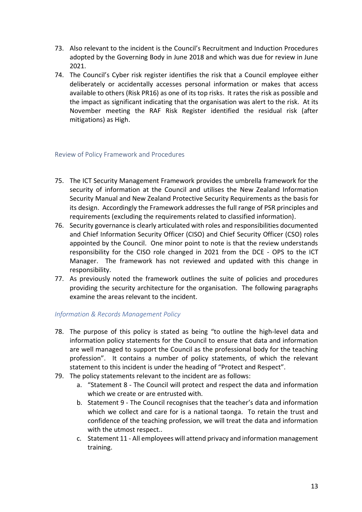- 73. Also relevant to the incident is the Council's Recruitment and Induction Procedures adopted by the Governing Body in June 2018 and which was due for review in June 2021.
- 74. The Council's Cyber risk register identifies the risk that a Council employee either deliberately or accidentally accesses personal information or makes that access available to others (Risk PR16) as one of its top risks. It rates the risk as possible and the impact as significant indicating that the organisation was alert to the risk. At its November meeting the RAF Risk Register identified the residual risk (after mitigations) as High.

### <span id="page-12-0"></span>Review of Policy Framework and Procedures

- 75. The ICT Security Management Framework provides the umbrella framework for the security of information at the Council and utilises the New Zealand Information Security Manual and New Zealand Protective Security Requirements as the basis for its design. Accordingly the Framework addresses the full range of PSR principles and requirements (excluding the requirements related to classified information).
- 76. Security governance is clearly articulated with roles and responsibilities documented and Chief Information Security Officer (CISO) and Chief Security Officer (CSO) roles appointed by the Council. One minor point to note is that the review understands responsibility for the CISO role changed in 2021 from the DCE - OPS to the ICT Manager. The framework has not reviewed and updated with this change in responsibility.
- 77. As previously noted the framework outlines the suite of policies and procedures providing the security architecture for the organisation. The following paragraphs examine the areas relevant to the incident.

### *Information & Records Management Policy*

- 78. The purpose of this policy is stated as being "to outline the high-level data and information policy statements for the Council to ensure that data and information are well managed to support the Council as the professional body for the teaching profession". It contains a number of policy statements, of which the relevant statement to this incident is under the heading of "Protect and Respect".
- 79. The policy statements relevant to the incident are as follows:
	- a. "Statement 8 The Council will protect and respect the data and information which we create or are entrusted with.
	- b. Statement 9 The Council recognises that the teacher's data and information which we collect and care for is a national taonga. To retain the trust and confidence of the teaching profession, we will treat the data and information with the utmost respect..
	- c. Statement 11 All employees will attend privacy and information management training.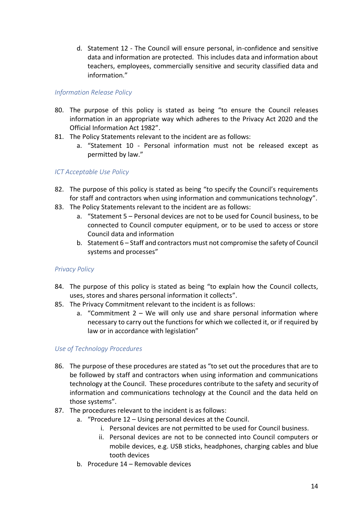d. Statement 12 - The Council will ensure personal, in-confidence and sensitive data and information are protected. This includes data and information about teachers, employees, commercially sensitive and security classified data and information."

### *Information Release Policy*

- 80. The purpose of this policy is stated as being "to ensure the Council releases information in an appropriate way which adheres to the Privacy Act 2020 and the Official Information Act 1982".
- 81. The Policy Statements relevant to the incident are as follows:
	- a. "Statement 10 Personal information must not be released except as permitted by law."

### *ICT Acceptable Use Policy*

- 82. The purpose of this policy is stated as being "to specify the Council's requirements for staff and contractors when using information and communications technology".
- 83. The Policy Statements relevant to the incident are as follows:
	- a. "Statement 5 Personal devices are not to be used for Council business, to be connected to Council computer equipment, or to be used to access or store Council data and information
	- b. Statement 6 Staff and contractors must not compromise the safety of Council systems and processes"

### *Privacy Policy*

- 84. The purpose of this policy is stated as being "to explain how the Council collects, uses, stores and shares personal information it collects".
- 85. The Privacy Commitment relevant to the incident is as follows:
	- a. "Commitment  $2 We$  will only use and share personal information where necessary to carry out the functions for which we collected it, or if required by law or in accordance with legislation"

### *Use of Technology Procedures*

- 86. The purpose of these procedures are stated as "to set out the procedures that are to be followed by staff and contractors when using information and communications technology at the Council. These procedures contribute to the safety and security of information and communications technology at the Council and the data held on those systems".
- 87. The procedures relevant to the incident is as follows:
	- a. "Procedure 12 Using personal devices at the Council.
		- i. Personal devices are not permitted to be used for Council business.
		- ii. Personal devices are not to be connected into Council computers or mobile devices, e.g. USB sticks, headphones, charging cables and blue tooth devices
	- b. Procedure 14 Removable devices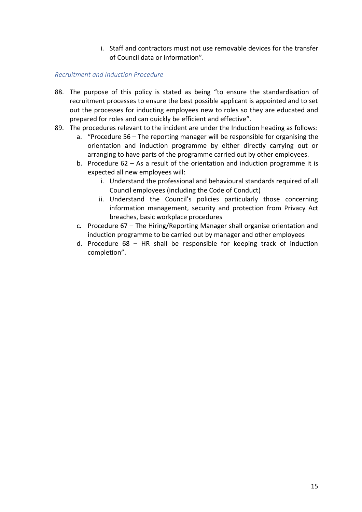i. Staff and contractors must not use removable devices for the transfer of Council data or information".

### *Recruitment and Induction Procedure*

- 88. The purpose of this policy is stated as being "to ensure the standardisation of recruitment processes to ensure the best possible applicant is appointed and to set out the processes for inducting employees new to roles so they are educated and prepared for roles and can quickly be efficient and effective".
- 89. The procedures relevant to the incident are under the Induction heading as follows:
	- a. "Procedure 56 The reporting manager will be responsible for organising the orientation and induction programme by either directly carrying out or arranging to have parts of the programme carried out by other employees.
	- b. Procedure 62 As a result of the orientation and induction programme it is expected all new employees will:
		- i. Understand the professional and behavioural standards required of all Council employees (including the Code of Conduct)
		- ii. Understand the Council's policies particularly those concerning information management, security and protection from Privacy Act breaches, basic workplace procedures
	- c. Procedure 67 The Hiring/Reporting Manager shall organise orientation and induction programme to be carried out by manager and other employees
	- d. Procedure  $68$  HR shall be responsible for keeping track of induction completion".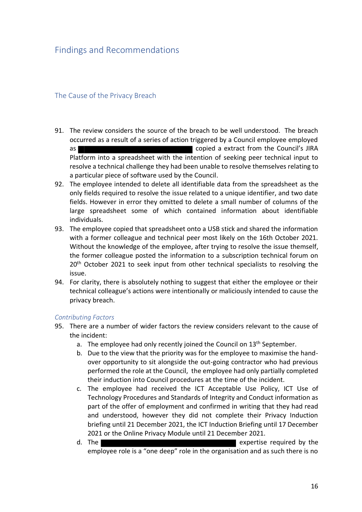### <span id="page-15-0"></span>Findings and Recommendations

### <span id="page-15-1"></span>The Cause of the Privacy Breach

- 91. The review considers the source of the breach to be well understood. The breach occurred as a result of a series of action triggered by a Council employee employed as copied a extract from the Council's JIRA Platform into a spreadsheet with the intention of seeking peer technical input to resolve a technical challenge they had been unable to resolve themselves relating to a particular piece of software used by the Council.
- 92. The employee intended to delete all identifiable data from the spreadsheet as the only fields required to resolve the issue related to a unique identifier, and two date fields. However in error they omitted to delete a small number of columns of the large spreadsheet some of which contained information about identifiable individuals.
- 93. The employee copied that spreadsheet onto a USB stick and shared the information with a former colleague and technical peer most likely on the 16th October 2021. Without the knowledge of the employee, after trying to resolve the issue themself, the former colleague posted the information to a subscription technical forum on 20<sup>th</sup> October 2021 to seek input from other technical specialists to resolving the issue.
- 94. For clarity, there is absolutely nothing to suggest that either the employee or their technical colleague's actions were intentionally or maliciously intended to cause the privacy breach.

### <span id="page-15-2"></span>*Contributing Factors*

- 95. There are a number of wider factors the review considers relevant to the cause of the incident:
	- a. The employee had only recently joined the Council on 13<sup>th</sup> September.
	- b. Due to the view that the priority was for the employee to maximise the handover opportunity to sit alongside the out-going contractor who had previous performed the role at the Council, the employee had only partially completed their induction into Council procedures at the time of the incident.
	- c. The employee had received the ICT Acceptable Use Policy, ICT Use of Technology Procedures and Standards of Integrity and Conduct information as part of the offer of employment and confirmed in writing that they had read and understood, however they did not complete their Privacy Induction briefing until 21 December 2021, the ICT Induction Briefing until 17 December 2021 or the Online Privacy Module until 21 December 2021.
	- d. The expertise required by the employee role is a "one deep" role in the organisation and as such there is no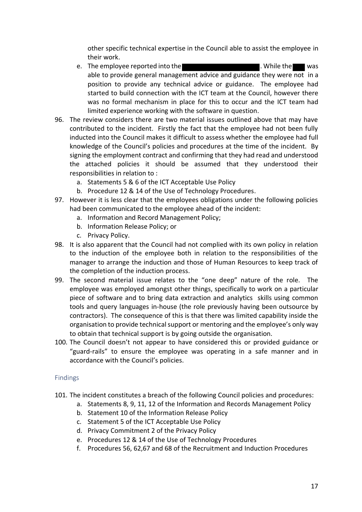other specific technical expertise in the Council able to assist the employee in their work.

- e. The employee reported into the **the contract of the contract of the was** was able to provide general management advice and guidance they were not in a position to provide any technical advice or guidance. The employee had started to build connection with the ICT team at the Council, however there was no formal mechanism in place for this to occur and the ICT team had limited experience working with the software in question.
- 96. The review considers there are two material issues outlined above that may have contributed to the incident. Firstly the fact that the employee had not been fully inducted into the Council makes it difficult to assess whether the employee had full knowledge of the Council's policies and procedures at the time of the incident. By signing the employment contract and confirming that they had read and understood the attached policies it should be assumed that they understood their responsibilities in relation to :
	- a. Statements 5 & 6 of the ICT Acceptable Use Policy
	- b. Procedure 12 & 14 of the Use of Technology Procedures.
- 97. However it is less clear that the employees obligations under the following policies had been communicated to the employee ahead of the incident:
	- a. Information and Record Management Policy;
	- b. Information Release Policy; or
	- c. Privacy Policy.
- 98. It is also apparent that the Council had not complied with its own policy in relation to the induction of the employee both in relation to the responsibilities of the manager to arrange the induction and those of Human Resources to keep track of the completion of the induction process.
- 99. The second material issue relates to the "one deep" nature of the role. The employee was employed amongst other things, specifically to work on a particular piece of software and to bring data extraction and analytics skills using common tools and query languages in-house (the role previously having been outsource by contractors). The consequence of this is that there was limited capability inside the organisation to provide technical support or mentoring and the employee's only way to obtain that technical support is by going outside the organisation.
- 100. The Council doesn't not appear to have considered this or provided guidance or "guard-rails" to ensure the employee was operating in a safe manner and in accordance with the Council's policies.

### <span id="page-16-0"></span>Findings

- 101. The incident constitutes a breach of the following Council policies and procedures:
	- a. Statements 8, 9, 11, 12 of the Information and Records Management Policy
	- b. Statement 10 of the Information Release Policy
	- c. Statement 5 of the ICT Acceptable Use Policy
	- d. Privacy Commitment 2 of the Privacy Policy
	- e. Procedures 12 & 14 of the Use of Technology Procedures
	- f. Procedures 56, 62,67 and 68 of the Recruitment and Induction Procedures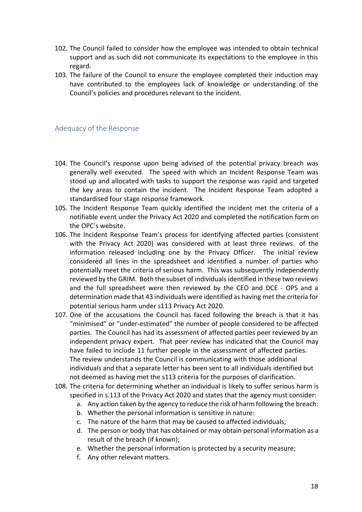- 102. The Council failed to consider how the employee was intended to obtain technical support and as such did not communicate its expectations to the employee in this regard.
- 103. The failure of the Council to ensure the employee completed their induction may have contributed to the employees lack of knowledge or understanding of the Council's policies and procedures relevant to the incident.

### <span id="page-17-0"></span>Adequacy of the Response

- 104. The Council's response upon being advised of the potential privacy breach was generally well executed. The speed with which an Incident Response Team was stood up and allocated with tasks to support the response was rapid and targeted the key areas to contain the incident. The Incident Response Team adopted a standardised four stage response framework.
- 105. The Incident Response Team quickly identified the incident met the criteria of a notifiable event under the Privacy Act 2020 and completed the notification form on the OPC's website.
- 106. The Incident Response Team's process for identifying affected parties (consistent with the Privacy Act 2020) was considered with at least three reviews of the information released including one by the Privacy Officer. The initial review considered all lines in the spreadsheet and identified a number of parties who potentially meet the criteria of serious harm. This was subsequently independently reviewed by the GRIM. Both the subset of individuals identified in these two reviews and the full spreadsheet were then reviewed by the CEO and DCE - OPS and a determination made that 43 individuals were identified as having met the criteria for potential serious harm under s113 Privacy Act 2020.
- 107. One of the accusations the Council has faced following the breach is that it has "minimised" or "under-estimated" the number of people considered to be affected parties. The Council has had its assessment of affected parties peer reviewed by an independent privacy expert. That peer review has indicated that the Council may have failed to include 11 further people in the assessment of affected parties. The review understands the Council is communicating with those additional individuals and that a separate letter has been sent to all individuals identified but not deemed as having met the s113 criteria for the purposes of clarification.
- 108. The criteria for determining whether an individual is likely to suffer serious harm is specified in s.113 of the Privacy Act 2020 and states that the agency must consider:
	- a. Any action taken by the agency to reduce the risk of harm following the breach:
	- b. Whether the personal information is sensitive in nature:
	- c. The nature of the harm that may be caused to affected individuals;
	- d. The person or body that has obtained or may obtain personal information as a result of the breach (if known);
	- e. Whether the personal information is protected by a security measure;
	- f. Any other relevant matters.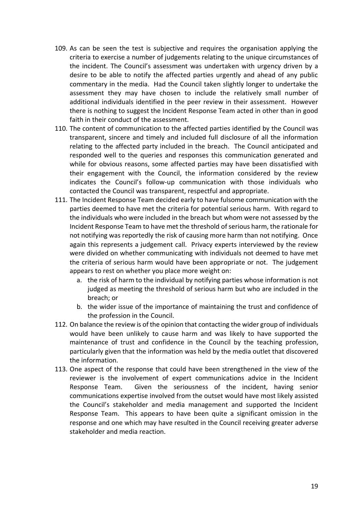- 109. As can be seen the test is subjective and requires the organisation applying the criteria to exercise a number of judgements relating to the unique circumstances of the incident. The Council's assessment was undertaken with urgency driven by a desire to be able to notify the affected parties urgently and ahead of any public commentary in the media. Had the Council taken slightly longer to undertake the assessment they may have chosen to include the relatively small number of additional individuals identified in the peer review in their assessment. However there is nothing to suggest the Incident Response Team acted in other than in good faith in their conduct of the assessment.
- 110. The content of communication to the affected parties identified by the Council was transparent, sincere and timely and included full disclosure of all the information relating to the affected party included in the breach. The Council anticipated and responded well to the queries and responses this communication generated and while for obvious reasons, some affected parties may have been dissatisfied with their engagement with the Council, the information considered by the review indicates the Council's follow-up communication with those individuals who contacted the Council was transparent, respectful and appropriate.
- 111. The Incident Response Team decided early to have fulsome communication with the parties deemed to have met the criteria for potential serious harm. With regard to the individuals who were included in the breach but whom were not assessed by the Incident Response Team to have met the threshold of serious harm, the rationale for not notifying was reportedly the risk of causing more harm than not notifying. Once again this represents a judgement call. Privacy experts interviewed by the review were divided on whether communicating with individuals not deemed to have met the criteria of serious harm would have been appropriate or not. The judgement appears to rest on whether you place more weight on:
	- a. the risk of harm to the individual by notifying parties whose information is not judged as meeting the threshold of serious harm but who are included in the breach; or
	- b. the wider issue of the importance of maintaining the trust and confidence of the profession in the Council.
- 112. On balance the review is of the opinion that contacting the wider group of individuals would have been unlikely to cause harm and was likely to have supported the maintenance of trust and confidence in the Council by the teaching profession, particularly given that the information was held by the media outlet that discovered the information.
- 113. One aspect of the response that could have been strengthened in the view of the reviewer is the involvement of expert communications advice in the Incident Response Team. Given the seriousness of the incident, having senior communications expertise involved from the outset would have most likely assisted the Council's stakeholder and media management and supported the Incident Response Team. This appears to have been quite a significant omission in the response and one which may have resulted in the Council receiving greater adverse stakeholder and media reaction.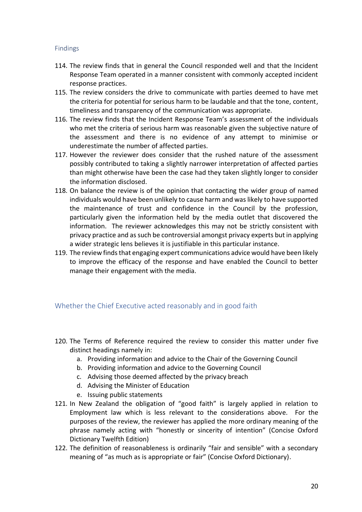### <span id="page-19-0"></span>Findings

- 114. The review finds that in general the Council responded well and that the Incident Response Team operated in a manner consistent with commonly accepted incident response practices.
- 115. The review considers the drive to communicate with parties deemed to have met the criteria for potential for serious harm to be laudable and that the tone, content, timeliness and transparency of the communication was appropriate.
- 116. The review finds that the Incident Response Team's assessment of the individuals who met the criteria of serious harm was reasonable given the subjective nature of the assessment and there is no evidence of any attempt to minimise or underestimate the number of affected parties.
- 117. However the reviewer does consider that the rushed nature of the assessment possibly contributed to taking a slightly narrower interpretation of affected parties than might otherwise have been the case had they taken slightly longer to consider the information disclosed.
- 118. On balance the review is of the opinion that contacting the wider group of named individuals would have been unlikely to cause harm and was likely to have supported the maintenance of trust and confidence in the Council by the profession, particularly given the information held by the media outlet that discovered the information. The reviewer acknowledges this may not be strictly consistent with privacy practice and as such be controversial amongst privacy experts but in applying a wider strategic lens believes it is justifiable in this particular instance.
- 119. The review finds that engaging expert communications advice would have been likely to improve the efficacy of the response and have enabled the Council to better manage their engagement with the media.

### <span id="page-19-1"></span>Whether the Chief Executive acted reasonably and in good faith

- 120. The Terms of Reference required the review to consider this matter under five distinct headings namely in:
	- a. Providing information and advice to the Chair of the Governing Council
	- b. Providing information and advice to the Governing Council
	- c. Advising those deemed affected by the privacy breach
	- d. Advising the Minister of Education
	- e. Issuing public statements
- 121. In New Zealand the obligation of "good faith" is largely applied in relation to Employment law which is less relevant to the considerations above. For the purposes of the review, the reviewer has applied the more ordinary meaning of the phrase namely acting with "honestly or sincerity of intention" (Concise Oxford Dictionary Twelfth Edition)
- 122. The definition of reasonableness is ordinarily "fair and sensible" with a secondary meaning of "as much as is appropriate or fair" (Concise Oxford Dictionary).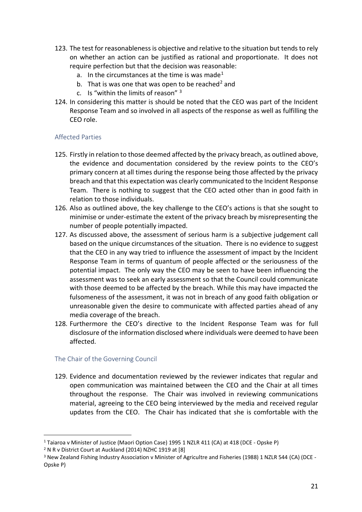- 123. The test for reasonableness is objective and relative to the situation but tends to rely on whether an action can be justified as rational and proportionate. It does not require perfection but that the decision was reasonable:
	- a. In the circumstances at the time is was made<sup>1</sup>
	- b. That is was one that was open to be reached<sup>2</sup> and
	- c. Is "within the limits of reason" <sup>3</sup>
- 124. In considering this matter is should be noted that the CEO was part of the Incident Response Team and so involved in all aspects of the response as well as fulfilling the CEO role.

### <span id="page-20-0"></span>Affected Parties

- 125. Firstly in relation to those deemed affected by the privacy breach, as outlined above, the evidence and documentation considered by the review points to the CEO's primary concern at all times during the response being those affected by the privacy breach and that this expectation was clearly communicated to the Incident Response Team. There is nothing to suggest that the CEO acted other than in good faith in relation to those individuals.
- 126. Also as outlined above, the key challenge to the CEO's actions is that she sought to minimise or under-estimate the extent of the privacy breach by misrepresenting the number of people potentially impacted.
- 127. As discussed above, the assessment of serious harm is a subjective judgement call based on the unique circumstances of the situation. There is no evidence to suggest that the CEO in any way tried to influence the assessment of impact by the Incident Response Team in terms of quantum of people affected or the seriousness of the potential impact. The only way the CEO may be seen to have been influencing the assessment was to seek an early assessment so that the Council could communicate with those deemed to be affected by the breach. While this may have impacted the fulsomeness of the assessment, it was not in breach of any good faith obligation or unreasonable given the desire to communicate with affected parties ahead of any media coverage of the breach.
- 128. Furthermore the CEO's directive to the Incident Response Team was for full disclosure of the information disclosed where individuals were deemed to have been affected.

### <span id="page-20-1"></span>The Chair of the Governing Council

129. Evidence and documentation reviewed by the reviewer indicates that regular and open communication was maintained between the CEO and the Chair at all times throughout the response. The Chair was involved in reviewing communications material, agreeing to the CEO being interviewed by the media and received regular updates from the CEO. The Chair has indicated that she is comfortable with the

<sup>1</sup> Taiaroa v Minister of Justice (Maori Option Case) 1995 1 NZLR 411 (CA) at 418 (DCE - Opske P)

<sup>2</sup> N R v District Court at Auckland (2014) NZHC 1919 at [8]

<sup>&</sup>lt;sup>3</sup> New Zealand Fishing Industry Association v Minister of Agricultre and Fisheries (1988) 1 NZLR 544 (CA) (DCE -Opske P)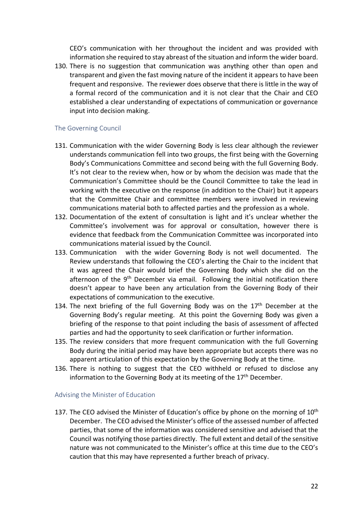CEO's communication with her throughout the incident and was provided with information she required to stay abreast of the situation and inform the wider board.

130. There is no suggestion that communication was anything other than open and transparent and given the fast moving nature of the incident it appears to have been frequent and responsive. The reviewer does observe that there is little in the way of a formal record of the communication and it is not clear that the Chair and CEO established a clear understanding of expectations of communication or governance input into decision making.

#### <span id="page-21-0"></span>The Governing Council

- 131. Communication with the wider Governing Body is less clear although the reviewer understands communication fell into two groups, the first being with the Governing Body's Communications Committee and second being with the full Governing Body. It's not clear to the review when, how or by whom the decision was made that the Communication's Committee should be the Council Committee to take the lead in working with the executive on the response (in addition to the Chair) but it appears that the Committee Chair and committee members were involved in reviewing communications material both to affected parties and the profession as a whole.
- 132. Documentation of the extent of consultation is light and it's unclear whether the Committee's involvement was for approval or consultation, however there is evidence that feedback from the Communication Committee was incorporated into communications material issued by the Council.
- 133. Communication with the wider Governing Body is not well documented. The Review understands that following the CEO's alerting the Chair to the incident that it was agreed the Chair would brief the Governing Body which she did on the afternoon of the  $9<sup>th</sup>$  December via email. Following the initial notification there doesn't appear to have been any articulation from the Governing Body of their expectations of communication to the executive.
- 134. The next briefing of the full Governing Body was on the  $17<sup>th</sup>$  December at the Governing Body's regular meeting. At this point the Governing Body was given a briefing of the response to that point including the basis of assessment of affected parties and had the opportunity to seek clarification or further information.
- 135. The review considers that more frequent communication with the full Governing Body during the initial period may have been appropriate but accepts there was no apparent articulation of this expectation by the Governing Body at the time.
- 136. There is nothing to suggest that the CEO withheld or refused to disclose any information to the Governing Body at its meeting of the  $17<sup>th</sup>$  December.

#### <span id="page-21-1"></span>Advising the Minister of Education

137. The CEO advised the Minister of Education's office by phone on the morning of 10<sup>th</sup> December. The CEO advised the Minister's office of the assessed number of affected parties, that some of the information was considered sensitive and advised that the Council was notifying those parties directly. The full extent and detail of the sensitive nature was not communicated to the Minister's office at this time due to the CEO's caution that this may have represented a further breach of privacy.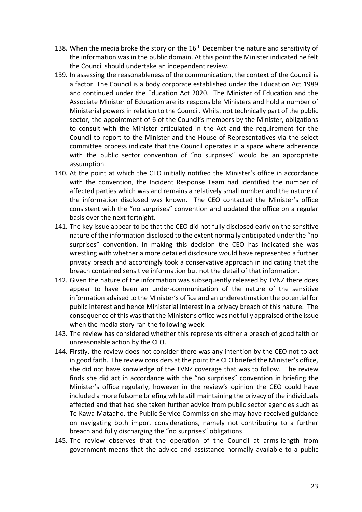- 138. When the media broke the story on the  $16<sup>th</sup>$  December the nature and sensitivity of the information was in the public domain. At this point the Minister indicated he felt the Council should undertake an independent review.
- 139. In assessing the reasonableness of the communication, the context of the Council is a factor The Council is a body corporate established under the Education Act 1989 and continued under the Education Act 2020. The Minister of Education and the Associate Minister of Education are its responsible Ministers and hold a number of Ministerial powers in relation to the Council. Whilst not technically part of the public sector, the appointment of 6 of the Council's members by the Minister, obligations to consult with the Minister articulated in the Act and the requirement for the Council to report to the Minister and the House of Representatives via the select committee process indicate that the Council operates in a space where adherence with the public sector convention of "no surprises" would be an appropriate assumption.
- 140. At the point at which the CEO initially notified the Minister's office in accordance with the convention, the Incident Response Team had identified the number of affected parties which was and remains a relatively small number and the nature of the information disclosed was known. The CEO contacted the Minister's office consistent with the "no surprises" convention and updated the office on a regular basis over the next fortnight.
- 141. The key issue appear to be that the CEO did not fully disclosed early on the sensitive nature of the information disclosed to the extent normally anticipated under the "no surprises" convention. In making this decision the CEO has indicated she was wrestling with whether a more detailed disclosure would have represented a further privacy breach and accordingly took a conservative approach in indicating that the breach contained sensitive information but not the detail of that information.
- 142. Given the nature of the information was subsequently released by TVNZ there does appear to have been an under-communication of the nature of the sensitive information advised to the Minister's office and an underestimation the potential for public interest and hence Ministerial interest in a privacy breach of this nature. The consequence of this was that the Minister's office was not fully appraised of the issue when the media story ran the following week.
- 143. The review has considered whether this represents either a breach of good faith or unreasonable action by the CEO.
- 144. Firstly, the review does not consider there was any intention by the CEO not to act in good faith. The review considers at the point the CEO briefed the Minister's office, she did not have knowledge of the TVNZ coverage that was to follow. The review finds she did act in accordance with the "no surprises" convention in briefing the Minister's office regularly, however in the review's opinion the CEO could have included a more fulsome briefing while still maintaining the privacy of the individuals affected and that had she taken further advice from public sector agencies such as Te Kawa Mataaho, the Public Service Commission she may have received guidance on navigating both import considerations, namely not contributing to a further breach and fully discharging the "no surprises" obligations.
- 145. The review observes that the operation of the Council at arms-length from government means that the advice and assistance normally available to a public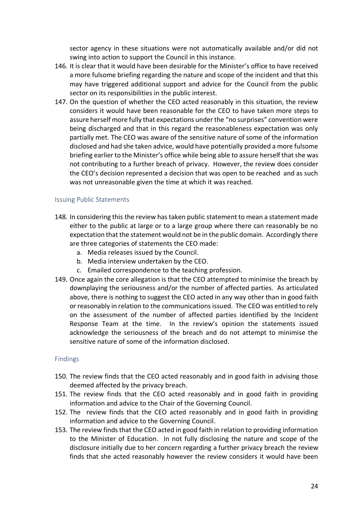sector agency in these situations were not automatically available and/or did not swing into action to support the Council in this instance.

- 146. It is clear that it would have been desirable for the Minister's office to have received a more fulsome briefing regarding the nature and scope of the incident and that this may have triggered additional support and advice for the Council from the public sector on its responsibilities in the public interest.
- 147. On the question of whether the CEO acted reasonably in this situation, the review considers it would have been reasonable for the CEO to have taken more steps to assure herself more fully that expectations under the "no surprises" convention were being discharged and that in this regard the reasonableness expectation was only partially met. The CEO was aware of the sensitive nature of some of the information disclosed and had she taken advice, would have potentially provided a more fulsome briefing earlier to the Minister's office while being able to assure herself that she was not contributing to a further breach of privacy. However, the review does consider the CEO's decision represented a decision that was open to be reached and as such was not unreasonable given the time at which it was reached.

### <span id="page-23-0"></span>Issuing Public Statements

- 148. In considering this the review has taken public statement to mean a statement made either to the public at large or to a large group where there can reasonably be no expectation that the statement would not be in the public domain. Accordingly there are three categories of statements the CEO made:
	- a. Media releases issued by the Council.
	- b. Media interview undertaken by the CEO.
	- c. Emailed correspondence to the teaching profession.
- 149. Once again the core allegation is that the CEO attempted to minimise the breach by downplaying the seriousness and/or the number of affected parties. As articulated above, there is nothing to suggest the CEO acted in any way other than in good faith or reasonably in relation to the communications issued. The CEO was entitled to rely on the assessment of the number of affected parties identified by the Incident Response Team at the time. In the review's opinion the statements issued acknowledge the seriousness of the breach and do not attempt to minimise the sensitive nature of some of the information disclosed.

### <span id="page-23-1"></span>Findings

- 150. The review finds that the CEO acted reasonably and in good faith in advising those deemed affected by the privacy breach.
- 151. The review finds that the CEO acted reasonably and in good faith in providing information and advice to the Chair of the Governing Council.
- 152. The review finds that the CEO acted reasonably and in good faith in providing information and advice to the Governing Council.
- 153. The review finds that the CEO acted in good faith in relation to providing information to the Minister of Education. In not fully disclosing the nature and scope of the disclosure initially due to her concern regarding a further privacy breach the review finds that she acted reasonably however the review considers it would have been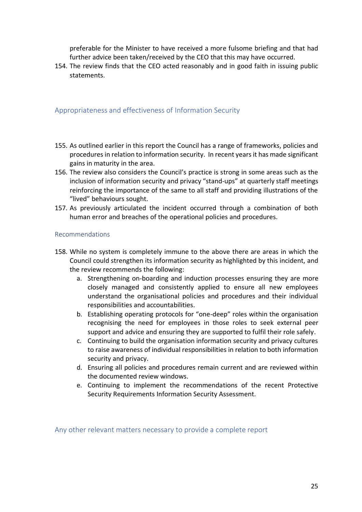preferable for the Minister to have received a more fulsome briefing and that had further advice been taken/received by the CEO that this may have occurred.

154. The review finds that the CEO acted reasonably and in good faith in issuing public statements.

### <span id="page-24-0"></span>Appropriateness and effectiveness of Information Security

- 155. As outlined earlier in this report the Council has a range of frameworks, policies and procedures in relation to information security. In recent years it has made significant gains in maturity in the area.
- 156. The review also considers the Council's practice is strong in some areas such as the inclusion of information security and privacy "stand-ups" at quarterly staff meetings reinforcing the importance of the same to all staff and providing illustrations of the "lived" behaviours sought.
- 157. As previously articulated the incident occurred through a combination of both human error and breaches of the operational policies and procedures.

### <span id="page-24-1"></span>Recommendations

- 158. While no system is completely immune to the above there are areas in which the Council could strengthen its information security as highlighted by this incident, and the review recommends the following:
	- a. Strengthening on-boarding and induction processes ensuring they are more closely managed and consistently applied to ensure all new employees understand the organisational policies and procedures and their individual responsibilities and accountabilities.
	- b. Establishing operating protocols for "one-deep" roles within the organisation recognising the need for employees in those roles to seek external peer support and advice and ensuring they are supported to fulfil their role safely.
	- c. Continuing to build the organisation information security and privacy cultures to raise awareness of individual responsibilities in relation to both information security and privacy.
	- d. Ensuring all policies and procedures remain current and are reviewed within the documented review windows.
	- e. Continuing to implement the recommendations of the recent Protective Security Requirements Information Security Assessment.

<span id="page-24-2"></span>Any other relevant matters necessary to provide a complete report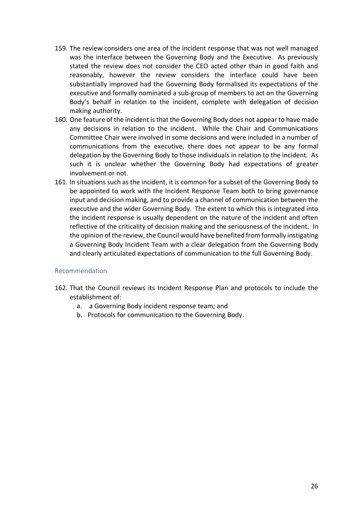- 159. The review considers one area of the incident response that was not well managed was the interface between the Governing Body and the Executive. As previously stated the review does not consider the CEO acted other than in good faith and reasonably, however the review considers the interface could have been substantially improved had the Governing Body formalised its expectations of the executive and formally nominated a sub-group of members to act on the Governing Body's behalf in relation to the incident, complete with delegation of decision making authority.
- 160. One feature of the incident is that the Governing Body does not appear to have made any decisions in relation to the incident. While the Chair and Communications Committee Chair were involved in some decisions and were included in a number of communications from the executive, there does not appear to be any formal delegation by the Governing Body to those individuals in relation to the incident. As such it is unclear whether the Governing Body had expectations of greater involvement or not.
- 161. In situations such as the incident, it is common for a subset of the Governing Body to be appointed to work with the Incident Response Team both to bring governance input and decision making, and to provide a channel of communication between the executive and the wider Governing Body. The extent to which this is integrated into the incident response is usually dependent on the nature of the incident and often reflective of the criticality of decision making and the seriousness of the incident. In the opinion of the review, the Council would have benefited from formally instigating a Governing Body Incident Team with a clear delegation from the Governing Body and clearly articulated expectations of communication to the full Governing Body.

### <span id="page-25-0"></span>Recommendation

- 162. That the Council reviews its Incident Response Plan and protocols to include the establishment of:
	- a. a Governing Body incident response team; and
	- b. Protocols for communication to the Governing Body.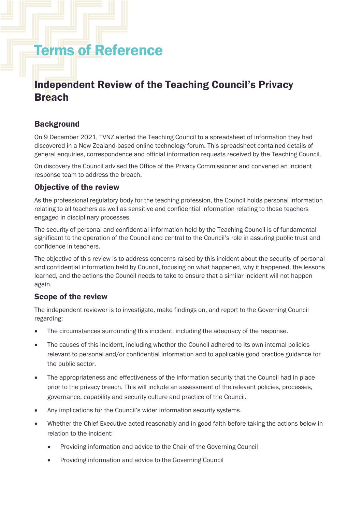## Terms of Reference

### Independent Review of the Teaching Council's Privacy **Breach**

### **Background**

On 9 December 2021, TVNZ alerted the Teaching Council to a spreadsheet of information they had discovered in a New Zealand-based online technology forum. This spreadsheet contained details of general enquiries, correspondence and official information requests received by the Teaching Council.

On discovery the Council advised the Office of the Privacy Commissioner and convened an incident response team to address the breach.

### Objective of the review

As the professional regulatory body for the teaching profession, the Council holds personal information relating to all teachers as well as sensitive and confidential information relating to those teachers engaged in disciplinary processes.

The security of personal and confidential information held by the Teaching Council is of fundamental significant to the operation of the Council and central to the Council's role in assuring public trust and confidence in teachers.

The objective of this review is to address concerns raised by this incident about the security of personal and confidential information held by Council, focusing on what happened, why it happened, the lessons learned, and the actions the Council needs to take to ensure that a similar incident will not happen again.

### Scope of the review

The independent reviewer is to investigate, make findings on, and report to the Governing Council regarding:

- The circumstances surrounding this incident, including the adequacy of the response.
- The causes of this incident, including whether the Council adhered to its own internal policies relevant to personal and/or confidential information and to applicable good practice guidance for the public sector.
- The appropriateness and effectiveness of the information security that the Council had in place prior to the privacy breach. This will include an assessment of the relevant policies, processes, governance, capability and security culture and practice of the Council.
- Any implications for the Council's wider information security systems.
- Whether the Chief Executive acted reasonably and in good faith before taking the actions below in relation to the incident:
	- Providing information and advice to the Chair of the Governing Council
	- Providing information and advice to the Governing Council